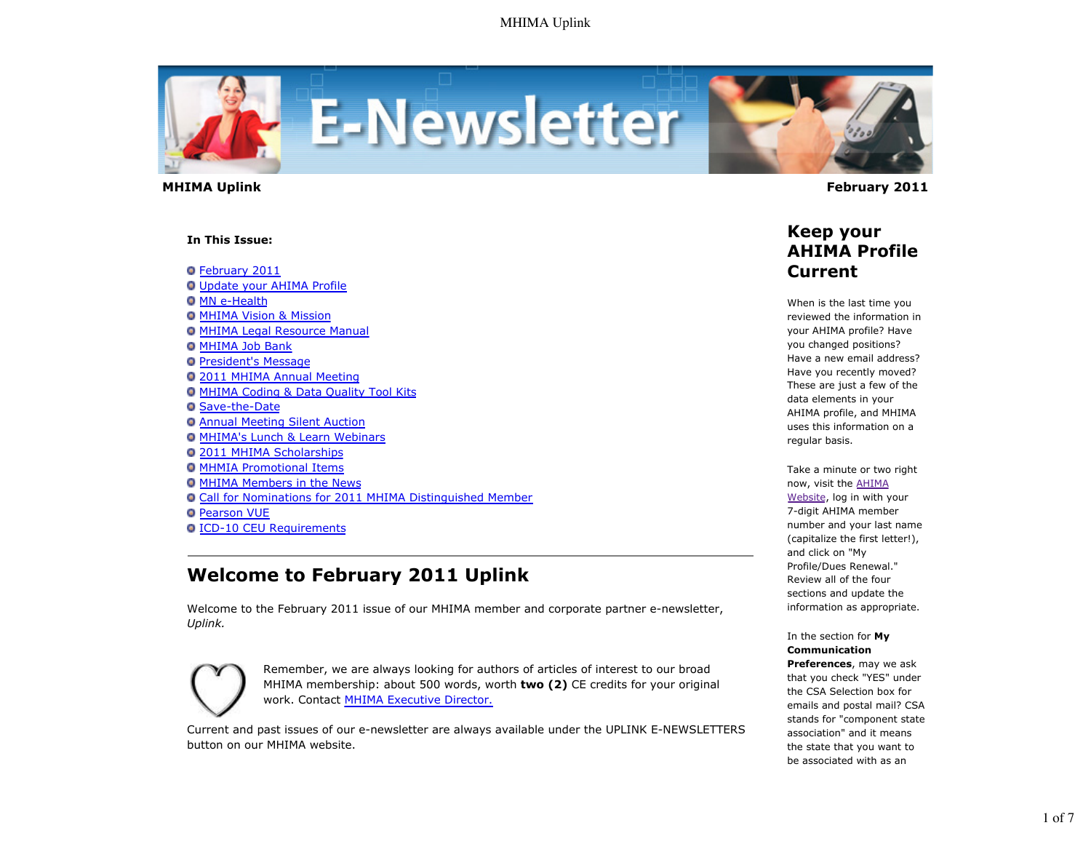

 **MHIMA Uplink February 2011** 

#### **In This Issue:**

February 2011 Update your AHIMA Profile **O** MN e-Health

- **O MHIMA Vision & Mission**
- **O MHIMA Legal Resource Manual**
- **O MHIMA Job Bank**
- **President's Message**
- 2011 MHIMA Annual Meeting
- MHIMA Coding & Data Quality Tool Kits
- **G** Save-the-Date
- Annual Meeting Silent Auction
- **O MHIMA's Lunch & Learn Webinars**
- 2011 MHIMA Scholarships
- **O MHMIA Promotional Items**
- **O MHIMA Members in the News**
- Call for Nominations for 2011 MHIMA Distinguished Member
- **O** Pearson VUE
- **O ICD-10 CEU Requirements**

# **Welcome to February 2011 Uplink**

Welcome to the February 2011 issue of our MHIMA member and corporate partner e-newsletter, *Uplink.*



Remember, we are always looking for authors of articles of interest to our broad MHIMA membership: about 500 words, worth **two (2)** CE credits for your original work. Contact MHIMA Executive Director.

Current and past issues of our e-newsletter are always available under the UPLINK E-NEWSLETTERS button on our MHIMA website.

### **Keep your AHIMA Profile Current**

When is the last time you reviewed the information in your AHIMA profile? Have you changed positions? Have a new email address? Have you recently moved? These are just a few of the data elements in your AHIMA profile, and MHIMA uses this information on a regular basis.

Take a minute or two right now, visit the AHIMA Website, log in with your 7-digit AHIMA member number and your last name (capitalize the first letter!), and click on "My Profile/Dues Renewal." Review all of the four sections and update the information as appropriate.

In the section for **My Communication Preferences**, may we ask that you check "YES" under the CSA Selection box for emails and postal mail? CSA stands for "component state association" and it means

the state that you want to be associated with as an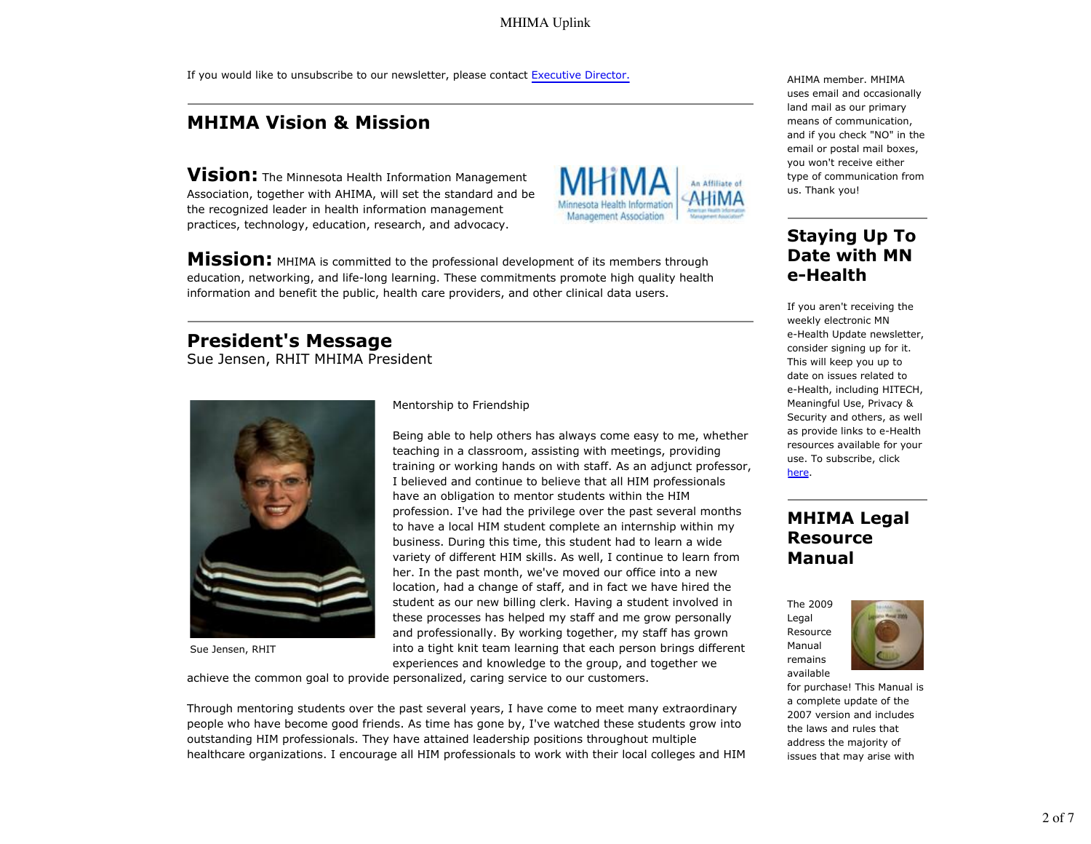MHIMA Uplink

If you would like to unsubscribe to our newsletter, please contact Executive Director.

## **MHIMA Vision & Mission**

**Vision:** The Minnesota Health Information Management Association, together with AHIMA, will set the standard and be the recognized leader in health information management practices, technology, education, research, and advocacy.



**Mission:** MHIMA is committed to the professional development of its members through education, networking, and life-long learning. These commitments promote high quality health information and benefit the public, health care providers, and other clinical data users.

### **President's Message**

Sue Jensen, RHIT MHIMA President



Sue Jensen, RHIT

Mentorship to Friendship

Being able to help others has always come easy to me, whether teaching in a classroom, assisting with meetings, providing training or working hands on with staff. As an adjunct professor, I believed and continue to believe that all HIM professionals have an obligation to mentor students within the HIM profession. I've had the privilege over the past several months to have a local HIM student complete an internship within my business. During this time, this student had to learn a wide variety of different HIM skills. As well, I continue to learn from her. In the past month, we've moved our office into a new location, had a change of staff, and in fact we have hired the student as our new billing clerk. Having a student involved in these processes has helped my staff and me grow personally and professionally. By working together, my staff has grown into a tight knit team learning that each person brings different experiences and knowledge to the group, and together we

achieve the common goal to provide personalized, caring service to our customers.

Through mentoring students over the past several years, I have come to meet many extraordinary people who have become good friends. As time has gone by, I've watched these students grow into outstanding HIM professionals. They have attained leadership positions throughout multiple healthcare organizations. I encourage all HIM professionals to work with their local colleges and HIM AHIMA member. MHIMA uses email and occasionally land mail as our primary means of communication, and if you check "NO" in the email or postal mail boxes, you won't receive either type of communication from us. Thank you!

## **Staying Up To Date with MN e-Health**

If you aren't receiving the weekly electronic MN e-Health Update newsletter, consider signing up for it. This will keep you up to date on issues related to e-Health, including HITECH, Meaningful Use, Privacy & Security and others, as well as provide links to e-Health resources available for your use. To subscribe, click here.

## **MHIMA Legal Resource Manual**

The 2009 Legal Resource Manual remains available



for purchase! This Manual is a complete update of the 2007 version and includes the laws and rules that address the majority of issues that may arise with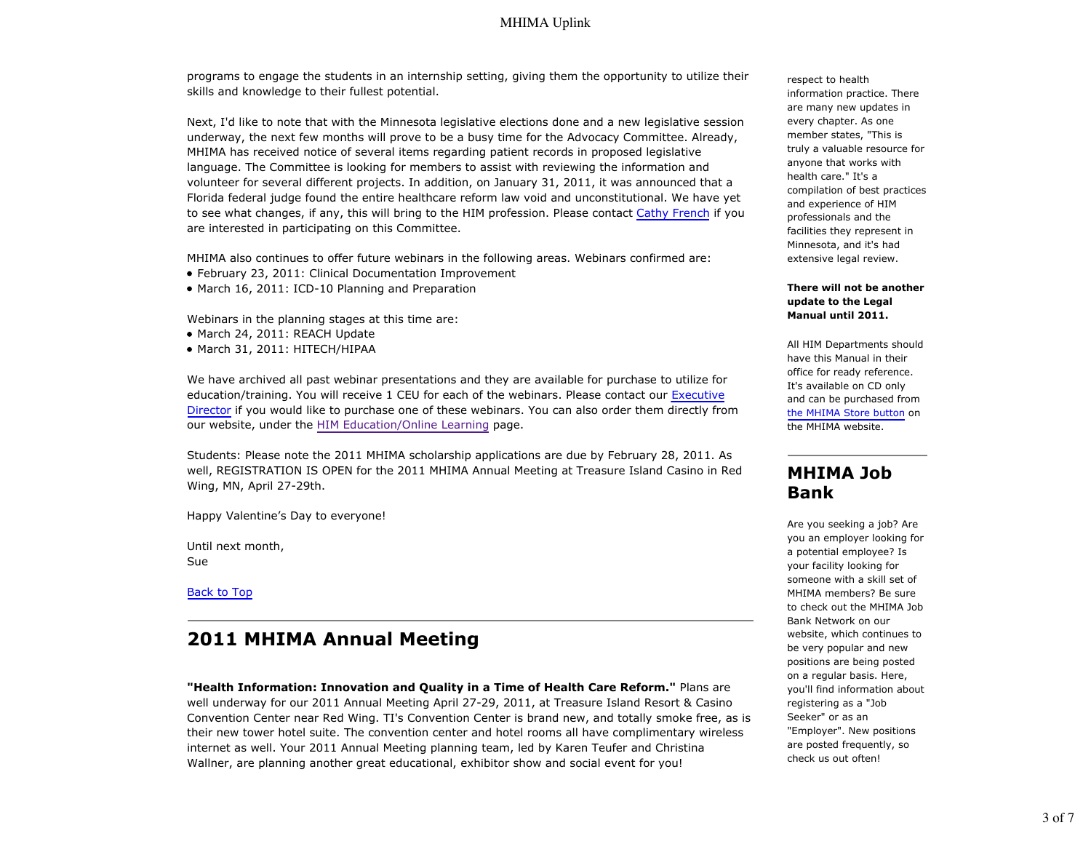#### MHIMA Uplink

programs to engage the students in an internship setting, giving them the opportunity to utilize their skills and knowledge to their fullest potential.

Next, I'd like to note that with the Minnesota legislative elections done and a new legislative session underway, the next few months will prove to be a busy time for the Advocacy Committee. Already, MHIMA has received notice of several items regarding patient records in proposed legislative language. The Committee is looking for members to assist with reviewing the information and volunteer for several different projects. In addition, on January 31, 2011, it was announced that a Florida federal judge found the entire healthcare reform law void and unconstitutional. We have yet to see what changes, if any, this will bring to the HIM profession. Please contact Cathy French if you are interested in participating on this Committee.

MHIMA also continues to offer future webinars in the following areas. Webinars confirmed are:

- February 23, 2011: Clinical Documentation Improvement
- March 16, 2011: ICD-10 Planning and Preparation

Webinars in the planning stages at this time are:

- March 24, 2011: REACH Update
- March 31, 2011: HITECH/HIPAA

We have archived all past webinar presentations and they are available for purchase to utilize for education/training. You will receive 1 CEU for each of the webinars. Please contact our Executive Director if you would like to purchase one of these webinars. You can also order them directly from our website, under the HIM Education/Online Learning page.

Students: Please note the 2011 MHIMA scholarship applications are due by February 28, 2011. As well, REGISTRATION IS OPEN for the 2011 MHIMA Annual Meeting at Treasure Island Casino in Red Wing, MN, April 27-29th.

Happy Valentine's Day to everyone!

Until next month, Sue

Back to Top

### **2011 MHIMA Annual Meeting**

**"Health Information: Innovation and Quality in a Time of Health Care Reform."** Plans are well underway for our 2011 Annual Meeting April 27-29, 2011, at Treasure Island Resort & Casino Convention Center near Red Wing. TI's Convention Center is brand new, and totally smoke free, as is their new tower hotel suite. The convention center and hotel rooms all have complimentary wireless internet as well. Your 2011 Annual Meeting planning team, led by Karen Teufer and Christina Wallner, are planning another great educational, exhibitor show and social event for you!

respect to health information practice. There are many new updates in every chapter. As one member states, "This is truly a valuable resource for anyone that works with health care." It's a compilation of best practices and experience of HIM professionals and the facilities they represent in Minnesota, and it's had extensive legal review.

#### **There will not be another update to the Legal Manual until 2011.**

All HIM Departments should have this Manual in their office for ready reference. It's available on CD only and can be purchased from the MHIMA Store button on the MHIMA website.

### **MHIMA Job Bank**

Are you seeking a job? Are you an employer looking for a potential employee? Is your facility looking for someone with a skill set of MHIMA members? Be sure to check out the MHIMA Job Bank Network on our website, which continues to be very popular and new positions are being posted on a regular basis. Here, you'll find information about registering as a "Job Seeker" or as an "Employer". New positions are posted frequently, so check us out often!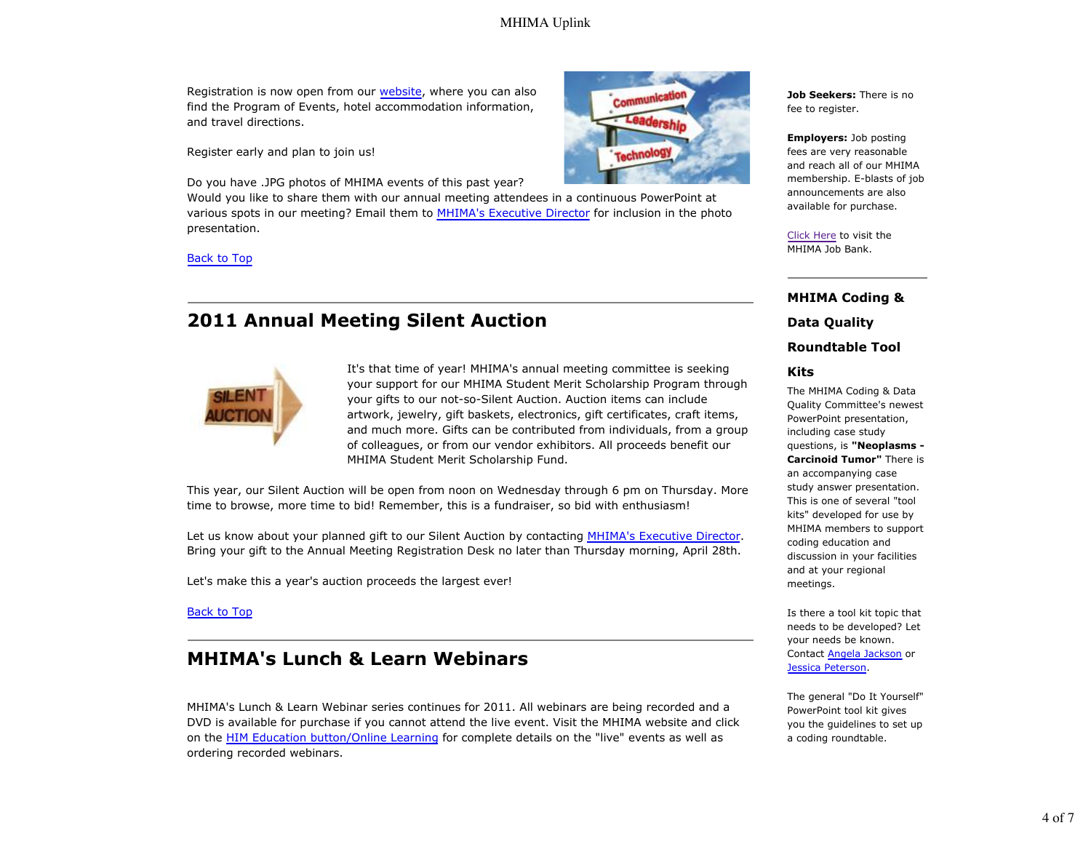#### MHIMA Uplink

Registration is now open from our website, where you can also find the Program of Events, hotel accommodation information, and travel directions.

Register early and plan to join us!

Do you have .JPG photos of MHIMA events of this past year?

Would you like to share them with our annual meeting attendees in a continuous PowerPoint at various spots in our meeting? Email them to MHIMA's Executive Director for inclusion in the photo presentation.

Back to Top

## **2011 Annual Meeting Silent Auction**



It's that time of year! MHIMA's annual meeting committee is seeking your support for our MHIMA Student Merit Scholarship Program through your gifts to our not-so-Silent Auction. Auction items can include artwork, jewelry, gift baskets, electronics, gift certificates, craft items, and much more. Gifts can be contributed from individuals, from a group of colleagues, or from our vendor exhibitors. All proceeds benefit our MHIMA Student Merit Scholarship Fund.

This year, our Silent Auction will be open from noon on Wednesday through 6 pm on Thursday. More time to browse, more time to bid! Remember, this is a fundraiser, so bid with enthusiasm!

Let us know about your planned gift to our Silent Auction by contacting MHIMA's Executive Director. Bring your gift to the Annual Meeting Registration Desk no later than Thursday morning, April 28th.

Let's make this a year's auction proceeds the largest ever!

Back to Top

## **MHIMA's Lunch & Learn Webinars**

MHIMA's Lunch & Learn Webinar series continues for 2011. All webinars are being recorded and a DVD is available for purchase if you cannot attend the live event. Visit the MHIMA website and click on the HIM Education button/Online Learning for complete details on the "live" events as well as ordering recorded webinars.



**Job Seekers:** There is no fee to register.

**Employers:** Job posting fees are very reasonable and reach all of our MHIMA membership. E-blasts of job announcements are also available for purchase.

Click Here to visit the MHIMA Job Bank.

# **MHIMA Coding & Data Quality Roundtable Tool**

#### **Kits**

The MHIMA Coding & Data Quality Committee's newest PowerPoint presentation, including case study questions, is **"Neoplasms - Carcinoid Tumor"** There is an accompanying case study answer presentation. This is one of several "tool kits" developed for use by MHIMA members to support coding education and discussion in your facilities and at your regional meetings.

Is there a tool kit topic that needs to be developed? Let your needs be known. Contact Angela Jackson or Jessica Peterson.

The general "Do It Yourself" PowerPoint tool kit gives you the guidelines to set up a coding roundtable.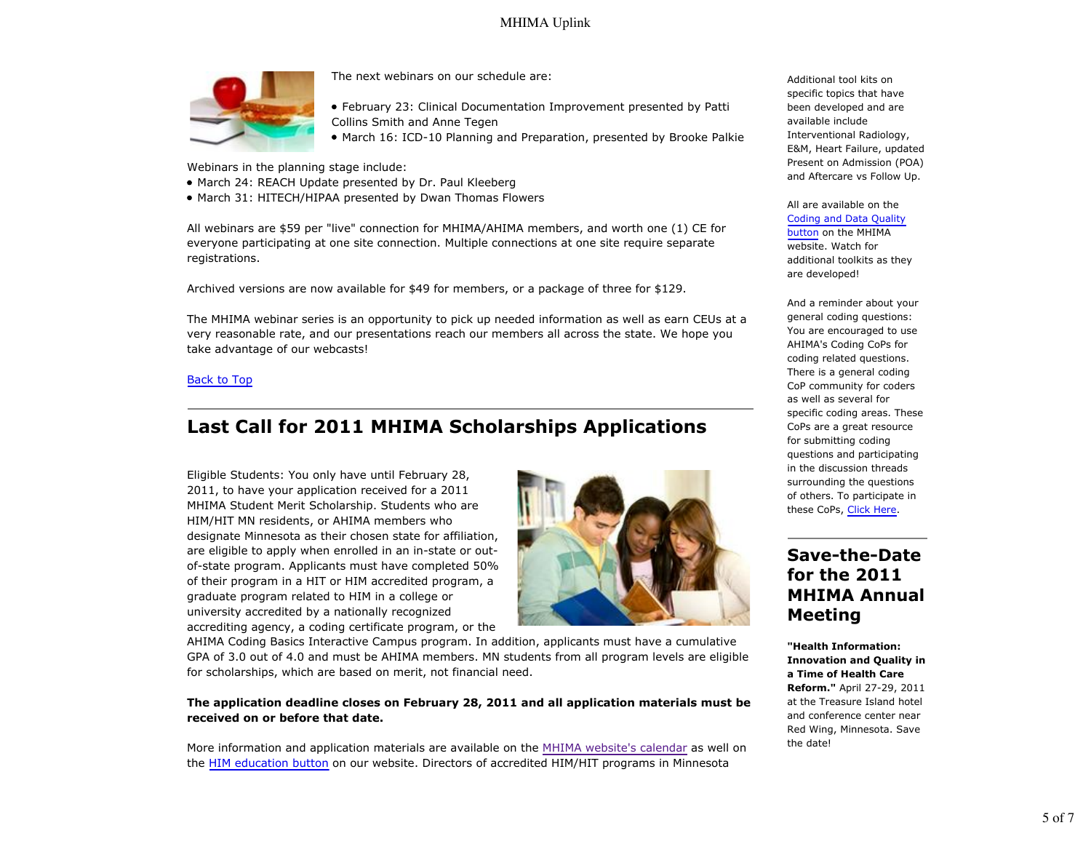

The next webinars on our schedule are:

- February 23: Clinical Documentation Improvement presented by Patti Collins Smith and Anne Tegen
- March 16: ICD-10 Planning and Preparation, presented by Brooke Palkie

Webinars in the planning stage include:

- March 24: REACH Update presented by Dr. Paul Kleeberg
- March 31: HITECH/HIPAA presented by Dwan Thomas Flowers

All webinars are \$59 per "live" connection for MHIMA/AHIMA members, and worth one (1) CE for everyone participating at one site connection. Multiple connections at one site require separate registrations.

Archived versions are now available for \$49 for members, or a package of three for \$129.

The MHIMA webinar series is an opportunity to pick up needed information as well as earn CEUs at a very reasonable rate, and our presentations reach our members all across the state. We hope you take advantage of our webcasts!

#### Back to Top

## **Last Call for 2011 MHIMA Scholarships Applications**

Eligible Students: You only have until February 28, 2011, to have your application received for a 2011 MHIMA Student Merit Scholarship. Students who are HIM/HIT MN residents, or AHIMA members who designate Minnesota as their chosen state for affiliation, are eligible to apply when enrolled in an in-state or outof-state program. Applicants must have completed 50% of their program in a HIT or HIM accredited program, a graduate program related to HIM in a college or university accredited by a nationally recognized accrediting agency, a coding certificate program, or the



AHIMA Coding Basics Interactive Campus program. In addition, applicants must have a cumulative GPA of 3.0 out of 4.0 and must be AHIMA members. MN students from all program levels are eligible for scholarships, which are based on merit, not financial need.

#### **The application deadline closes on February 28, 2011 and all application materials must be received on or before that date.**

More information and application materials are available on the MHIMA website's calendar as well on the HIM education button on our website. Directors of accredited HIM/HIT programs in Minnesota

Additional tool kits on specific topics that have been developed and are available include Interventional Radiology, E&M, Heart Failure, updated Present on Admission (POA) and Aftercare vs Follow Up.

All are available on the Coding and Data Quality button on the MHIMA website. Watch for additional toolkits as they are developed!

And a reminder about your general coding questions: You are encouraged to use AHIMA's Coding CoPs for coding related questions. There is a general coding CoP community for coders as well as several for specific coding areas. These CoPs are a great resource for submitting coding questions and participating in the discussion threads surrounding the questions of others. To participate in these CoPs, Click Here.

## **Save-the-Date for the 2011 MHIMA Annual Meeting**

**"Health Information: Innovation and Quality in a Time of Health Care Reform."** April 27-29, 2011 at the Treasure Island hotel and conference center near Red Wing, Minnesota. Save the date!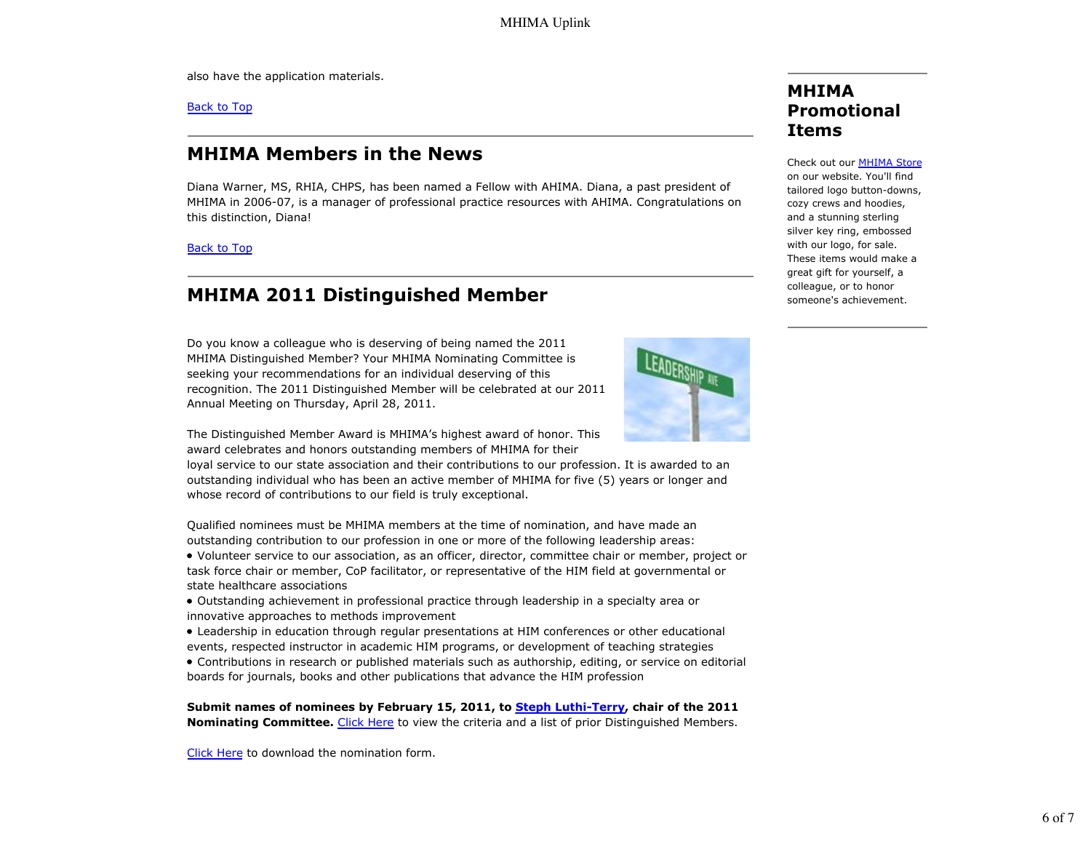also have the application materials.

Back to Top

## **MHIMA Members in the News**

Diana Warner, MS, RHIA, CHPS, has been named a Fellow with AHIMA. Diana, a past president of MHIMA in 2006-07, is a manager of professional practice resources with AHIMA. Congratulations on this distinction, Diana!

Back to Top

# **MHIMA 2011 Distinguished Member**

Do you know a colleague who is deserving of being named the 2011 MHIMA Distinguished Member? Your MHIMA Nominating Committee is seeking your recommendations for an individual deserving of this recognition. The 2011 Distinguished Member will be celebrated at our 2011 Annual Meeting on Thursday, April 28, 2011.



The Distinguished Member Award is MHIMA's highest award of honor. This award celebrates and honors outstanding members of MHIMA for their

loyal service to our state association and their contributions to our profession. It is awarded to an outstanding individual who has been an active member of MHIMA for five (5) years or longer and whose record of contributions to our field is truly exceptional.

Qualified nominees must be MHIMA members at the time of nomination, and have made an outstanding contribution to our profession in one or more of the following leadership areas:

- Volunteer service to our association, as an officer, director, committee chair or member, project or task force chair or member, CoP facilitator, or representative of the HIM field at governmental or state healthcare associations
- Outstanding achievement in professional practice through leadership in a specialty area or innovative approaches to methods improvement
- Leadership in education through regular presentations at HIM conferences or other educational events, respected instructor in academic HIM programs, or development of teaching strategies
- Contributions in research or published materials such as authorship, editing, or service on editorial boards for journals, books and other publications that advance the HIM profession

**Submit names of nominees by February 15, 2011, to Steph Luthi-Terry, chair of the 2011 Nominating Committee.** Click Here to view the criteria and a list of prior Distinguished Members.

Click Here to download the nomination form.

## **MHIMA Promotional Items**

Check out our MHIMA Store on our website. You'll find tailored logo button-downs, cozy crews and hoodies, and a stunning sterling silver key ring, embossed with our logo, for sale. These items would make a great gift for yourself, a colleague, or to honor someone's achievement.